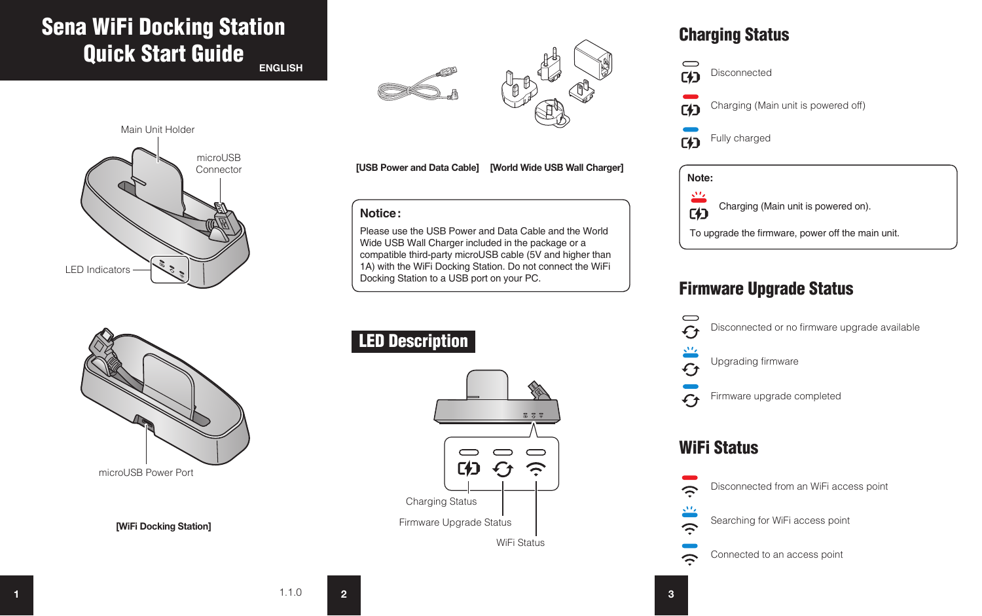# Sena WiFi Docking Station Quick Start Guide

**ENGLISH**





 $F<sup>4</sup>$ Disconnected

Charging (Main unit is powered off)  $F4$ 

Fully charged  $F$ 



## Firmware Upgrade Status









**[WiFi Docking Station]**

**[USB Power and Data Cable] [World Wide USB Wall Charger]**

### **Notice:**

Please use the USB Power and Data Cable and the World Wide USB Wall Charger included in the package or a compatible third-party microUSB cable (5V and higher than 1A) with the WiFi Docking Station. Do not connect the WiFi Docking Station to a USB port on your PC.

# LED Description



 $\hat{=}$